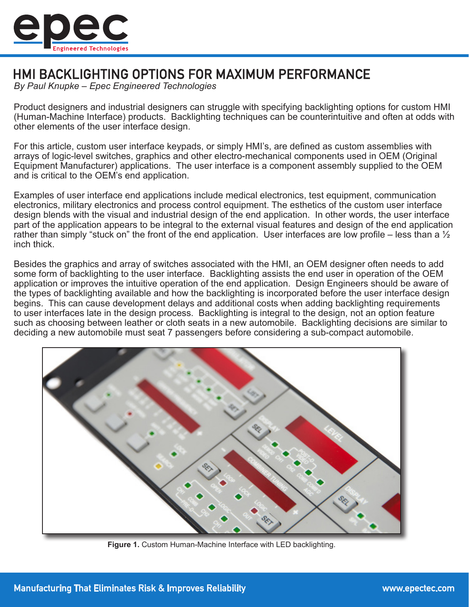

# **HMI BACKLIGHTING OPTIONS FOR MAXIMUM PERFORMANCE**

*By Paul Knupke – Epec Engineered Technologies*

Product designers and industrial designers can struggle with specifying backlighting options for custom HMI (Human-Machine Interface) products. Backlighting techniques can be counterintuitive and often at odds with other elements of the user interface design.

For this article, custom user interface keypads, or simply HMI's, are defined as custom assemblies with arrays of logic-level switches, graphics and other electro-mechanical components used in OEM (Original Equipment Manufacturer) applications. The user interface is a component assembly supplied to the OEM and is critical to the OEM's end application.

Examples of user interface end applications include medical electronics, test equipment, communication electronics, military electronics and process control equipment. The esthetics of the custom user interface design blends with the visual and industrial design of the end application. In other words, the user interface part of the application appears to be integral to the external visual features and design of the end application rather than simply "stuck on" the front of the end application. User interfaces are low profile – less than a  $\frac{1}{2}$ inch thick.

Besides the graphics and array of switches associated with the HMI, an OEM designer often needs to add some form of backlighting to the user interface. Backlighting assists the end user in operation of the OEM application or improves the intuitive operation of the end application. Design Engineers should be aware of the types of backlighting available and how the backlighting is incorporated before the user interface design begins. This can cause development delays and additional costs when adding backlighting requirements to user interfaces late in the design process. Backlighting is integral to the design, not an option feature such as choosing between leather or cloth seats in a new automobile. Backlighting decisions are similar to deciding a new automobile must seat 7 passengers before considering a sub-compact automobile.



**Figure 1.** Custom Human-Machine Interface with LED backlighting.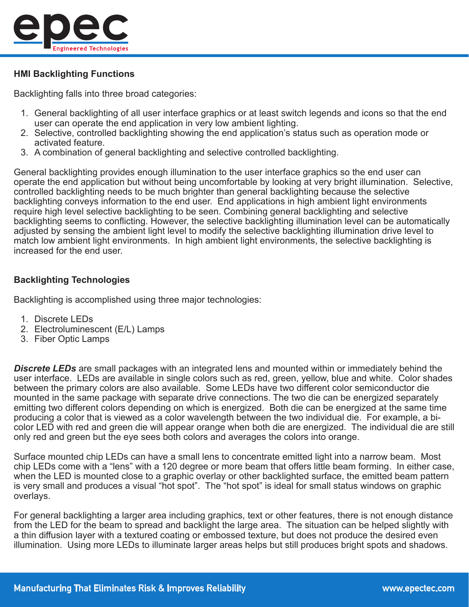

### **HMI Backlighting Functions**

Backlighting falls into three broad categories:

- 1. General backlighting of all user interface graphics or at least switch legends and icons so that the end user can operate the end application in very low ambient lighting.
- 2. Selective, controlled backlighting showing the end application's status such as operation mode or activated feature.
- 3. A combination of general backlighting and selective controlled backlighting.

General backlighting provides enough illumination to the user interface graphics so the end user can operate the end application but without being uncomfortable by looking at very bright illumination. Selective, controlled backlighting needs to be much brighter than general backlighting because the selective backlighting conveys information to the end user. End applications in high ambient light environments require high level selective backlighting to be seen. Combining general backlighting and selective backlighting seems to conflicting. However, the selective backlighting illumination level can be automatically adjusted by sensing the ambient light level to modify the selective backlighting illumination drive level to match low ambient light environments. In high ambient light environments, the selective backlighting is increased for the end user.

## **Backlighting Technologies**

Backlighting is accomplished using three major technologies:

- 1. Discrete LEDs
- 2. Electroluminescent (E/L) Lamps
- 3. Fiber Optic Lamps

*Discrete LEDs* are small packages with an integrated lens and mounted within or immediately behind the user interface. LEDs are available in single colors such as red, green, yellow, blue and white. Color shades between the primary colors are also available. Some LEDs have two different color semiconductor die mounted in the same package with separate drive connections. The two die can be energized separately emitting two different colors depending on which is energized. Both die can be energized at the same time producing a color that is viewed as a color wavelength between the two individual die. For example, a bicolor LED with red and green die will appear orange when both die are energized. The individual die are still only red and green but the eye sees both colors and averages the colors into orange.

Surface mounted chip LEDs can have a small lens to concentrate emitted light into a narrow beam. Most chip LEDs come with a "lens" with a 120 degree or more beam that offers little beam forming. In either case, when the LED is mounted close to a graphic overlay or other backlighted surface, the emitted beam pattern is very small and produces a visual "hot spot". The "hot spot" is ideal for small status windows on graphic overlays.

For general backlighting a larger area including graphics, text or other features, there is not enough distance from the LED for the beam to spread and backlight the large area. The situation can be helped slightly with a thin diffusion layer with a textured coating or embossed texture, but does not produce the desired even illumination. Using more LEDs to illuminate larger areas helps but still produces bright spots and shadows.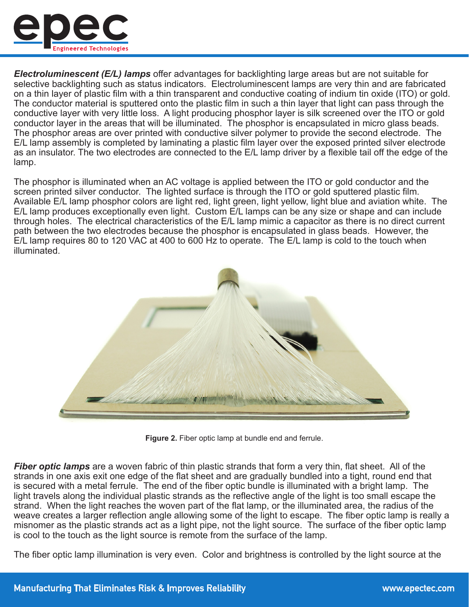

*Electroluminescent (E/L) lamps* offer advantages for backlighting large areas but are not suitable for selective backlighting such as status indicators. Electroluminescent lamps are very thin and are fabricated on a thin layer of plastic film with a thin transparent and conductive coating of indium tin oxide (ITO) or gold. The conductor material is sputtered onto the plastic film in such a thin layer that light can pass through the conductive layer with very little loss. A light producing phosphor layer is silk screened over the ITO or gold conductor layer in the areas that will be illuminated. The phosphor is encapsulated in micro glass beads. The phosphor areas are over printed with conductive silver polymer to provide the second electrode. The E/L lamp assembly is completed by laminating a plastic film layer over the exposed printed silver electrode as an insulator. The two electrodes are connected to the E/L lamp driver by a flexible tail off the edge of the lamp.

The phosphor is illuminated when an AC voltage is applied between the ITO or gold conductor and the screen printed silver conductor. The lighted surface is through the ITO or gold sputtered plastic film. Available E/L lamp phosphor colors are light red, light green, light yellow, light blue and aviation white. The E/L lamp produces exceptionally even light. Custom E/L lamps can be any size or shape and can include through holes. The electrical characteristics of the E/L lamp mimic a capacitor as there is no direct current path between the two electrodes because the phosphor is encapsulated in glass beads. However, the E/L lamp requires 80 to 120 VAC at 400 to 600 Hz to operate. The E/L lamp is cold to the touch when illuminated.



**Figure 2.** Fiber optic lamp at bundle end and ferrule.

*Fiber optic lamps* are a woven fabric of thin plastic strands that form a very thin, flat sheet. All of the strands in one axis exit one edge of the flat sheet and are gradually bundled into a tight, round end that is secured with a metal ferrule. The end of the fiber optic bundle is illuminated with a bright lamp. The light travels along the individual plastic strands as the reflective angle of the light is too small escape the strand. When the light reaches the woven part of the flat lamp, or the illuminated area, the radius of the weave creates a larger reflection angle allowing some of the light to escape. The fiber optic lamp is really a misnomer as the plastic strands act as a light pipe, not the light source. The surface of the fiber optic lamp is cool to the touch as the light source is remote from the surface of the lamp.

The fiber optic lamp illumination is very even. Color and brightness is controlled by the light source at the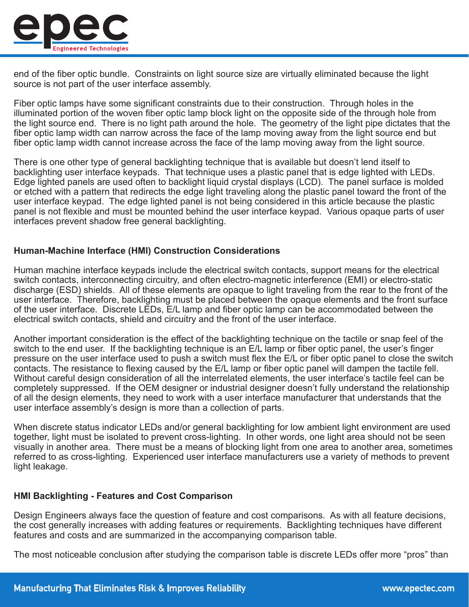

end of the fiber optic bundle. Constraints on light source size are virtually eliminated because the light source is not part of the user interface assembly.

Fiber optic lamps have some significant constraints due to their construction. Through holes in the illuminated portion of the woven fiber optic lamp block light on the opposite side of the through hole from the light source end. There is no light path around the hole. The geometry of the light pipe dictates that the fiber optic lamp width can narrow across the face of the lamp moving away from the light source end but fiber optic lamp width cannot increase across the face of the lamp moving away from the light source.

There is one other type of general backlighting technique that is available but doesn't lend itself to backlighting user interface keypads. That technique uses a plastic panel that is edge lighted with LEDs. Edge lighted panels are used often to backlight liquid crystal displays (LCD). The panel surface is molded or etched with a pattern that redirects the edge light traveling along the plastic panel toward the front of the user interface keypad. The edge lighted panel is not being considered in this article because the plastic panel is not flexible and must be mounted behind the user interface keypad. Various opaque parts of user interfaces prevent shadow free general backlighting.

#### **Human-Machine Interface (HMI) Construction Considerations**

Human machine interface keypads include the electrical switch contacts, support means for the electrical switch contacts, interconnecting circuitry, and often electro-magnetic interference (EMI) or electro-static discharge (ESD) shields. All of these elements are opaque to light traveling from the rear to the front of the user interface. Therefore, backlighting must be placed between the opaque elements and the front surface of the user interface. Discrete LEDs, E/L lamp and fiber optic lamp can be accommodated between the electrical switch contacts, shield and circuitry and the front of the user interface.

Another important consideration is the effect of the backlighting technique on the tactile or snap feel of the switch to the end user. If the backlighting technique is an E/L lamp or fiber optic panel, the user's finger pressure on the user interface used to push a switch must flex the E/L or fiber optic panel to close the switch contacts. The resistance to flexing caused by the E/L lamp or fiber optic panel will dampen the tactile fell. Without careful design consideration of all the interrelated elements, the user interface's tactile feel can be completely suppressed. If the OEM designer or industrial designer doesn't fully understand the relationship of all the design elements, they need to work with a user interface manufacturer that understands that the user interface assembly's design is more than a collection of parts.

When discrete status indicator LEDs and/or general backlighting for low ambient light environment are used together, light must be isolated to prevent cross-lighting. In other words, one light area should not be seen visually in another area. There must be a means of blocking light from one area to another area, sometimes referred to as cross-lighting. Experienced user interface manufacturers use a variety of methods to prevent light leakage.

#### **HMI Backlighting - Features and Cost Comparison**

Design Engineers always face the question of feature and cost comparisons. As with all feature decisions, the cost generally increases with adding features or requirements. Backlighting techniques have different features and costs and are summarized in the accompanying comparison table.

The most noticeable conclusion after studying the comparison table is discrete LEDs offer more "pros" than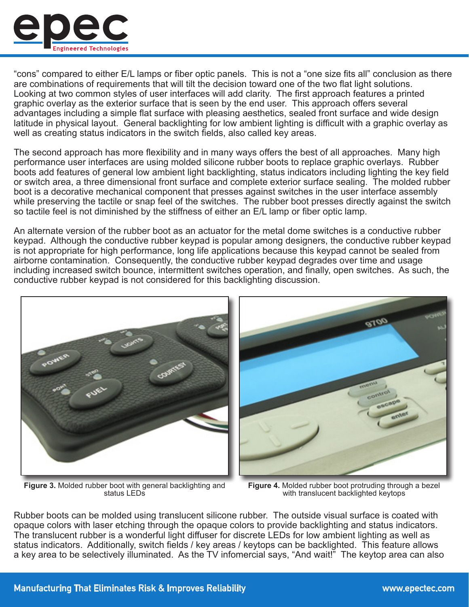

"cons" compared to either E/L lamps or fiber optic panels. This is not a "one size fits all" conclusion as there are combinations of requirements that will tilt the decision toward one of the two flat light solutions. Looking at two common styles of user interfaces will add clarity. The first approach features a printed graphic overlay as the exterior surface that is seen by the end user. This approach offers several advantages including a simple flat surface with pleasing aesthetics, sealed front surface and wide design latitude in physical layout. General backlighting for low ambient lighting is difficult with a graphic overlay as well as creating status indicators in the switch fields, also called key areas.

The second approach has more flexibility and in many ways offers the best of all approaches. Many high performance user interfaces are using molded silicone rubber boots to replace graphic overlays. Rubber boots add features of general low ambient light backlighting, status indicators including lighting the key field or switch area, a three dimensional front surface and complete exterior surface sealing. The molded rubber boot is a decorative mechanical component that presses against switches in the user interface assembly while preserving the tactile or snap feel of the switches. The rubber boot presses directly against the switch so tactile feel is not diminished by the stiffness of either an E/L lamp or fiber optic lamp.

An alternate version of the rubber boot as an actuator for the metal dome switches is a conductive rubber keypad. Although the conductive rubber keypad is popular among designers, the conductive rubber keypad is not appropriate for high performance, long life applications because this keypad cannot be sealed from airborne contamination. Consequently, the conductive rubber keypad degrades over time and usage including increased switch bounce, intermittent switches operation, and finally, open switches. As such, the conductive rubber keypad is not considered for this backlighting discussion.



**Figure 3.** Molded rubber boot with general backlighting and status LEDs

**Figure 4.** Molded rubber boot protruding through a bezel with translucent backlighted keytops

Rubber boots can be molded using translucent silicone rubber. The outside visual surface is coated with opaque colors with laser etching through the opaque colors to provide backlighting and status indicators. The translucent rubber is a wonderful light diffuser for discrete LEDs for low ambient lighting as well as status indicators. Additionally, switch fields / key areas / keytops can be backlighted. This feature allows a key area to be selectively illuminated. As the TV infomercial says, "And wait!" The keytop area can also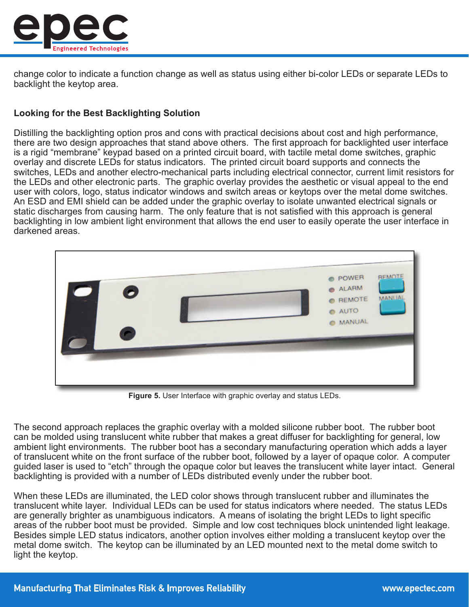

change color to indicate a function change as well as status using either bi-color LEDs or separate LEDs to backlight the keytop area.

## **Looking for the Best Backlighting Solution**

Distilling the backlighting option pros and cons with practical decisions about cost and high performance, there are two design approaches that stand above others. The first approach for backlighted user interface is a rigid "membrane" keypad based on a printed circuit board, with tactile metal dome switches, graphic overlay and discrete LEDs for status indicators. The printed circuit board supports and connects the switches, LEDs and another electro-mechanical parts including electrical connector, current limit resistors for the LEDs and other electronic parts. The graphic overlay provides the aesthetic or visual appeal to the end user with colors, logo, status indicator windows and switch areas or keytops over the metal dome switches. An ESD and EMI shield can be added under the graphic overlay to isolate unwanted electrical signals or static discharges from causing harm. The only feature that is not satisfied with this approach is general backlighting in low ambient light environment that allows the end user to easily operate the user interface in darkened areas.



**Figure 5.** User Interface with graphic overlay and status LEDs.

The second approach replaces the graphic overlay with a molded silicone rubber boot. The rubber boot can be molded using translucent white rubber that makes a great diffuser for backlighting for general, low ambient light environments. The rubber boot has a secondary manufacturing operation which adds a layer of translucent white on the front surface of the rubber boot, followed by a layer of opaque color. A computer guided laser is used to "etch" through the opaque color but leaves the translucent white layer intact. General backlighting is provided with a number of LEDs distributed evenly under the rubber boot.

When these LEDs are illuminated, the LED color shows through translucent rubber and illuminates the translucent white layer. Individual LEDs can be used for status indicators where needed. The status LEDs are generally brighter as unambiguous indicators. A means of isolating the bright LEDs to light specific areas of the rubber boot must be provided. Simple and low cost techniques block unintended light leakage. Besides simple LED status indicators, another option involves either molding a translucent keytop over the metal dome switch. The keytop can be illuminated by an LED mounted next to the metal dome switch to light the keytop.